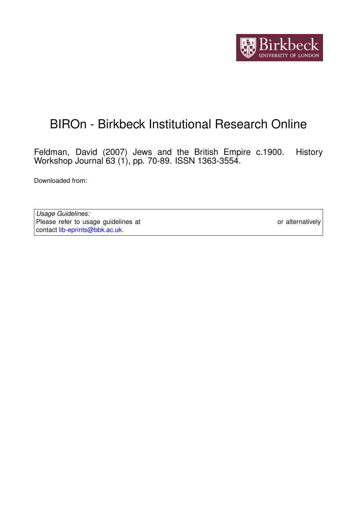

# BIROn - Birkbeck Institutional Research Online

Feldman, David (2007) Jews and the British Empire c.1900. History Workshop Journal 63 (1), pp. 70-89. ISSN 1363-3554.

Downloaded from: <https://eprints.bbk.ac.uk/id/eprint/655/>

*Usage Guidelines:* Please refer to usage guidelines at <https://eprints.bbk.ac.uk/policies.html> or alternatively contact [lib-eprints@bbk.ac.uk.](mailto:lib-eprints@bbk.ac.uk)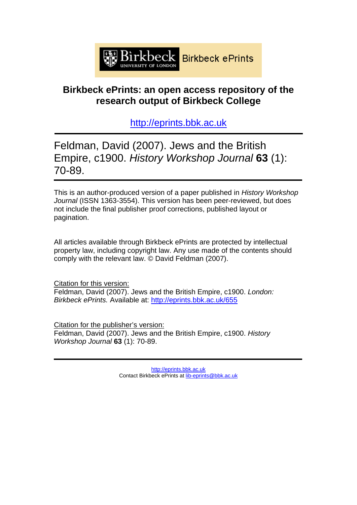

### **Birkbeck ePrints: an open access repository of the research output of Birkbeck College**

http://eprints.bbk.ac.uk

## Feldman, David (2007). Jews and the British Empire, c1900. *History Workshop Journal* **63** (1): 70-89.

This is an author-produced version of a paper published in *History Workshop Journal* (ISSN 1363-3554). This version has been peer-reviewed, but does not include the final publisher proof corrections, published layout or pagination.

All articles available through Birkbeck ePrints are protected by intellectual property law, including copyright law. Any use made of the contents should comply with the relevant law. © David Feldman (2007).

Citation for this version: Feldman, David (2007). Jews and the British Empire, c1900. *London: Birkbeck ePrints.* Available at: http://eprints.bbk.ac.uk/655

Citation for the publisher's version: Feldman, David (2007). Jews and the British Empire, c1900. *History Workshop Journal* **63** (1): 70-89.

> http://eprints.bbk.ac.uk Contact Birkbeck ePrints at lib-eprints@bbk.ac.uk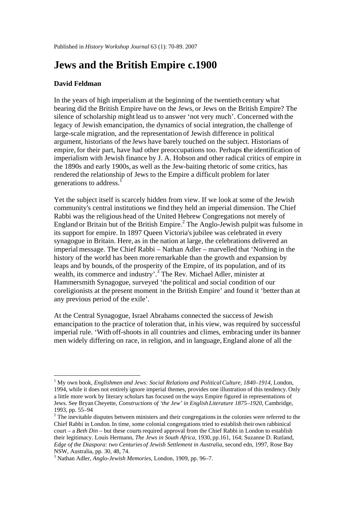### **Jews and the British Empire c.1900**

#### **David Feldman**

1

In the years of high imperialism at the beginning of the twentieth century what bearing did the British Empire have on the Jews, or Jews on the British Empire? The silence of scholarship might lead us to answer 'not very much'. Concerned with the legacy of Jewish emancipation, the dynamics of social integration, the challenge of large-scale migration, and the representation of Jewish difference in political argument, historians of the Jews have barely touched on the subject. Historians of empire, for their part, have had other preoccupations too. Perhaps the identification of imperialism with Jewish finance by J. A. Hobson and other radical critics of empire in the 1890s and early 1900s, as well as the Jew-baiting rhetoric of some critics, has rendered the relationship of Jews to the Empire a difficult problem for later generations to address.<sup>1</sup>

Yet the subject itself is scarcely hidden from view. If we look at some of the Jewish community's central institutions we find they held an imperial dimension. The Chief Rabbi was the religious head of the United Hebrew Congregations not merely of England or Britain but of the British Empire.<sup>2</sup> The Anglo-Jewish pulpit was fulsome in its support for empire. In 1897 Queen Victoria's jubilee was celebrated in every synagogue in Britain. Here, as in the nation at large, the celebrations delivered an imperial message. The Chief Rabbi – Nathan Adler – marvelled that 'Nothing in the history of the world has been more remarkable than the growth and expansion by leaps and by bounds, of the prosperity of the Empire, of its population, and of its wealth, its commerce and industry'.<sup>3</sup> The Rev. Michael Adler, minister at Hammersmith Synagogue, surveyed 'the political and social condition of our coreligionists at the present moment in the British Empire' and found it 'betterthan at any previous period of the exile'.

At the Central Synagogue, Israel Abrahams connected the success of Jewish emancipation to the practice of toleration that, in his view, was required by successful imperial rule. 'With off-shoots in all countries and climes, embracing under its banner men widely differing on race, in religion, and in language, England alone of all the

<sup>&</sup>lt;sup>1</sup> My own book, *Englishmen and Jews: Social Relations and Political Culture, 1840–1914*, London, 1994, while it does not entirely ignore imperial themes, provides one illustration of this tendency. Only a little more work by literary scholars has focused on the ways Empire figured in representations of Jews. See Bryan Cheyette, *Constructions of 'the Jew' in English Literature 1875–1920*, Cambridge, 1993, pp. 55–94

 $2^2$  The inevitable disputes between ministers and their congregations in the colonies were referred to the Chief Rabbi in London.In time, some colonial congregations tried to establish their own rabbinical court – a *Beth Din* – but these courts required approval from the Chief Rabbi in London to establish their legitimacy. Louis Hermann, *The Jews in South Africa*, 1930, pp.161, 164; Suzanne D. Rutland, *Edge of the Diaspora: two Centuries of Jewish Settlement in Australia*, second edn, 1997, Rose Bay NSW, Australia, pp. 30, 48, 74.

<sup>3</sup> Nathan Adler, *Anglo-Jewish Memories*, London, 1909, pp. 96–7.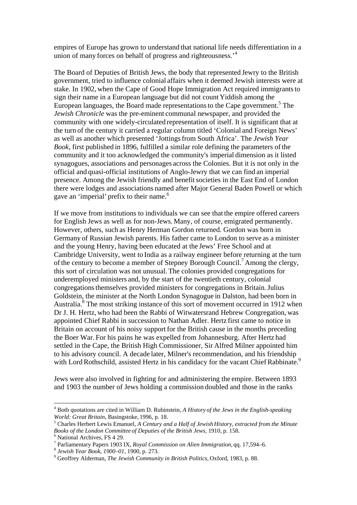empires of Europe has grown to understand that national life needs differentiation in a union of many forces on behalf of progress and righteousness.'<sup>4</sup>

The Board of Deputies of British Jews, the body that represented Jewry to the British government, tried to influence colonial affairs when it deemed Jewish interests were at stake. In 1902, when the Cape of Good Hope Immigration Act required immigrants to sign their name in a European language but did not count Yiddish among the European languages, the Board made representations to the Cape government.<sup>5</sup> The *Jewish Chronicle* was the pre-eminent communal newspaper, and provided the community with one widely-circulated representation of itself. It is significant that at the turn of the century it carried a regular column titled 'Colonial and Foreign News' as well as another which presented 'Jottingsfrom South Africa'. The *Jewish Year Book*, first published in 1896, fulfilled a similar role defining the parameters of the community and it too acknowledged the community's imperial dimension as it listed synagogues, associations and personages across the Colonies. But it is not only in the official and quasi-official institutions of Anglo-Jewry that we can find an imperial presence. Among the Jewish friendly and benefit societies in the East End of London there were lodges and associations named after Major General Baden Powell or which gave an 'imperial' prefix to their name.<sup>6</sup>

If we move from institutions to individuals we can see that the empire offered careers for English Jews as well as for non-Jews. Many, of course, emigrated permanently. However, others, such as Henry Herman Gordon returned. Gordon was born in Germany of Russian Jewish parents. His father came to London to serve as a minister and the young Henry, having been educated at the Jews' Free School and at Cambridge University, went to India as a railway engineer before returning at the turn ofthe century to become a member of Stepney Borough Council.7 Among the clergy, this sort of circulation was not unusual. The colonies provided congregations for underemployed ministers and, by the start of the twentieth century, colonial congregationsthemselves provided ministers for congregations in Britain.Julius Goldstein, the minister at the North London Synagogue in Dalston, had been born in Australia.<sup>8</sup> The most striking instance of this sort of movement occurred in 1912 when Dr J. H. Hertz, who had been the Rabbi of Witwatersrand Hebrew Congregation, was appointed Chief Rabbi in succession to Nathan Adler. Hertz first came to notice in Britain on account of his noisy support for the British cause in the months preceding the Boer War. For his pains he was expelled from Johannesburg. After Hertz had settled in the Cape, the British High Commissioner, Sir Alfred Milner appointed him to his advisory council. A decade later, Milner's recommendation, and his friendship with Lord Rothschild, assisted Hertz in his candidacy for the vacant Chief Rabbinate.<sup>9</sup>

Jews were also involved in fighting for and administering the empire. Between 1893 and 1903 the number of Jews holding a commission doubled and those in the ranks

<sup>4</sup> Both quotations are cited in William D. Rubinstein, *A History of the Jews in the English-speaking World: Great Britain, Basingstoke, 1996, p. 18.* 

Charles Herbert Lewis Emanuel, *A Century and a Half of Jewish History, extracted from the Minute Books of the London Committee of Deputies of the British Jews*, 1910, p. 158. 6

 $<sup>6</sup>$  National Archives, FS 4 29.</sup>

<sup>&</sup>lt;sup>7</sup> Parliamentary Papers 1903 IX, *Royal Commission on Alien Immigration*, qq. 17,594–6.<br><sup>8</sup> *Jewish Year Book, 1900–01*, 1900, p. 273.<br><sup>9</sup> Gooffray Alderman, The *Lawish Community in Pritish Bolities*, Oxford, 1083, p. 88

Geoffrey Alderman, *The Jewish Community in British Politics*, Oxford, 1983, p. 88.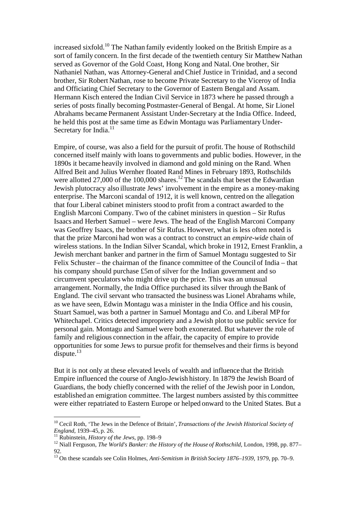increased sixfold.10 The Nathan family evidently looked on the British Empire as a sort of family concern. In the first decade of the twentieth century Sir Matthew Nathan served as Governor of the Gold Coast, Hong Kong and Natal. One brother, Sir Nathaniel Nathan, was Attorney-General andChief Justice in Trinidad, and a second brother, Sir Robert Nathan, rose to become Private Secretary to the Viceroy of India and Officiating Chief Secretary to the Governor of Eastern Bengal and Assam. Hermann Kisch entered the Indian Civil Service in 1873 where he passed through a series of posts finally becoming Postmaster-General of Bengal. At home, Sir Lionel Abrahams became Permanent Assistant Under-Secretary at the India Office. Indeed, he held this post at the same time as Edwin Montagu was Parliamentary Under-Secretary for India.<sup>11</sup>

Empire, of course, was also a field for the pursuit of profit. The house of Rothschild concerned itself mainly with loans to governments and public bodies. However, in the 1890s it became heavily involved in diamond and gold mining on the Rand. When Alfred Beit and Julius Wernher floated Rand Mines in February 1893, Rothschilds were allotted 27,000 of the 100,000 shares.<sup>12</sup> The scandals that beset the Edwardian Jewish plutocracy also illustrate Jews' involvement in the empire as a money-making enterprise. The Marconi scandal of 1912, it is well known, centred on the allegation that four Liberal cabinet ministers stood to profit from a contract awarded to the English Marconi Company. Two of the cabinet ministers in question – Sir Rufus Isaacs and Herbert Samuel – were Jews. The head of the English Marconi Company was Geoffrey Isaacs, the brother of Sir Rufus. However, what is less often noted is that the prize Marconi had won was a contract to construct an *empire-wide* chain of wireless stations. In the Indian Silver Scandal, which broke in 1912, Ernest Franklin, a Jewish merchant banker and partnerin the firm of Samuel Montagu suggested to Sir Felix Schuster – the chairman of the finance committee of the Council of India – that his company should purchase £5m of silver for the Indian government and so circumvent speculators who might drive up the price. This was an unusual arrangement. Normally, the India Office purchased its silver through theBank of England. The civil servant who transacted the business was Lionel Abrahams while, as we have seen, Edwin Montagu was a minister in the India Office and his cousin, Stuart Samuel, was both a partner in Samuel Montagu and Co. and Liberal MP for Whitechapel. Critics detected impropriety and a Jewish plot to use public service for personal gain. Montagu and Samuel were both exonerated. But whatever the role of family and religious connection in the affair, the capacity of empire to provide opportunities for some Jews to pursue profit for themselves and their firms is beyond  $dispute.<sup>13</sup>$ 

But it is not only at these elevated levels of wealth and influence that the British Empire influenced the course of Anglo-Jewish history. In 1879 the Jewish Board of Guardians, the body chiefly concerned with the relief of the Jewish poor in London, established an emigration committee. The largest numbers assisted by this committee were either repatriated to Eastern Europe or helped onward to the United States. But a

<sup>&</sup>lt;sup>10</sup> Cecil Roth, 'The Jews in the Defence of Britain', *Transactions of the Jewish Historical Society of England*, 1939–45, p. 26.<br><sup>11</sup> Rubinstein, *History of the Jews*, pp. 198–9<br><sup>12</sup> Niall Ferguson, *The World's Banker: the History of the House of Rothschild*, London, 1998, pp. 877–

<sup>92.</sup> 

<sup>13</sup> On these scandals see Colin Holmes, *Anti-Semitism in British Society 1876–1939*, 1979, pp. 70–9.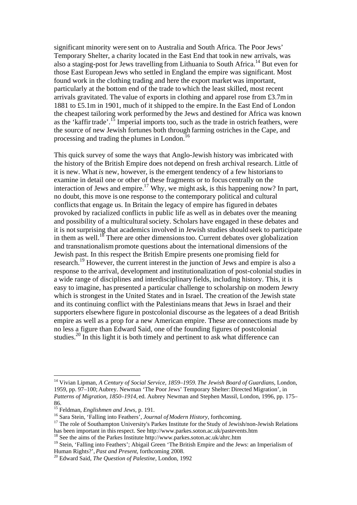significant minority were sent on to Australia and South Africa. The Poor Jews' Temporary Shelter, a charity located in the East End that took in new arrivals, was also a staging-post for Jews travelling from Lithuania to South Africa.<sup>14</sup> But even for those East European Jews who settled in England the empire was significant. Most found work in the clothing trading and here the export market was important, particularly at the bottom end of the trade to which the least skilled, most recent arrivals gravitated. The value of exports in clothing and apparel rose from £3.7min 1881 to £5.1m in 1901, much of it shipped to the empire.In the East End of London the cheapest tailoring work performed by the Jews and destined for Africa was known as the 'kaffir trade'.<sup>15</sup> Imperial imports too, such as the trade in ostrich feathers, were the source of new Jewish fortunes both through farming ostriches in the Cape, and processing and trading the plumes in London.<sup>16</sup>

This quick survey of some the ways that Anglo-Jewish history was imbricated with the history of the British Empire does not depend on fresh archival research. Little of it is new. What *is* new, however, is the emergent tendency of a few historiansto examine in detail one or other of these fragments or to focus centrally on the interaction of Jews and empire.<sup>17</sup> Why, we might ask, is this happening now? In part, no doubt, this move is one response to the contemporary political and cultural conflicts that engage us. In Britain the legacy of empire has figured in debates provoked by racialized conflicts in public life as well as in debates over the meaning and possibility of a multicultural society. Scholars have engaged in these debates and it is notsurprising that academics involved in Jewish studies should seek to participate in them as well.<sup>18</sup> There are other dimensions too. Current debates over globalization and transnationalismpromote questions about the international dimensions of the Jewish past. In this respect the British Empire presents one promising field for research.19 However, the current interest in the junction of Jews and empire is also a response to the arrival, development and institutionalization of post-colonial studies in a wide range of disciplines and interdisciplinary fields, including history. This, it is easy to imagine, has presented a particular challenge to scholarship on modern Jewry which is strongest in the United States and in Israel. The creation of the Jewish state and its continuing conflict with the Palestinians means that Jews in Israel and their supporters elsewhere figure in postcolonial discourse as the legatees of a dead British empire as well as a prop for a new American empire. These are connections made by no less a figure than Edward Said, one of the founding figures of postcolonial studies.<sup>20</sup> In this light it is both timely and pertinent to ask what difference can

<sup>14</sup> Vivian Lipman, *A Century of Social Service, 1859–1959. The Jewish Board of Guardians*, London, 1959, pp. 97–100; Aubrey. Newman 'The Poor Jews' Temporary Shelter: Directed Migration', in *Patterns of Migration, 1850–1914*, ed. Aubrey Newman and Stephen Massil, London, 1996, pp. 175– 86.<br><sup>15</sup> Feldman, *Englishmen and Jews*, p. 191.

<sup>&</sup>lt;sup>16</sup> Sara Stein, 'Falling into Feathers', *Journal of Modern History*, forthcoming.<br><sup>17</sup> The role of Southampton University's Parkes Institute for the Study of Jewish/non-Jewish Relations<br>has been important in this respec

<sup>&</sup>lt;sup>18</sup> See the aims of the Parkes Institute http://www.parkes.soton.ac.uk/ahrc.htm

<sup>&</sup>lt;sup>19</sup> Stein, 'Falling into Feathers'; Abigail Green 'The British Empire and the Jews: an Imperialism of Human Rights?', *Past and Present*, forthcoming 2008.

<sup>&</sup>lt;sup>20</sup> Edward Said, *The Question of Palestine*, London, 1992.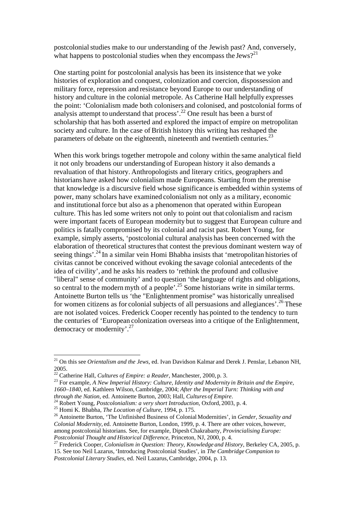postcolonial studies make to our understanding of the Jewish past? And, conversely, what happens to postcolonial studies when they encompass the Jews?<sup>21</sup>

One starting point for postcolonial analysis has been its insistence that we yoke histories of exploration and conquest, colonization and coercion, dispossession and military force, repression and resistance beyond Europe to our understanding of history and culture in the colonial metropole. As Catherine Hall helpfully expresses the point: 'Colonialism made both colonisers and colonised, and postcolonial forms of analysis attempt to understand that process'.22 One result has been a burst of scholarship that has both asserted and explored the impact of empire on metropolitan society and culture. In the case of British history this writing has reshaped the parameters of debate on the eighteenth, nineteenth and twentieth centuries. $^{23}$ 

When this work brings together metropole and colony within the same analytical field it not only broadens our understanding of European history it also demands a revaluation of that history. Anthropologists and literary critics, geographers and historians have asked how colonialism made Europeans. Starting from the premise that knowledge is a discursive field whose significance is embedded within systems of power, many scholars have examined colonialism not only as a military, economic and institutional force but also as a phenomenon that operated within European culture. This has led some writers not only to point out that colonialism and racism were important facets of European modernity but to suggest that European culture and politics is fatally compromised by its colonial and racist past. Robert Young, for example, simply asserts, 'postcolonial cultural analysis has been concerned with the elaboration of theoretical structures that contest the previous dominant western way of seeing things'.<sup>24</sup> In a similar vein Homi Bhabha insists that 'metropolitan histories of civitas cannot be conceived without evoking the savage colonial antecedents of the idea of civility', and he asks his readers to 'rethink the profound and collusive "liberal" sense of community' and to question 'the language of rights and obligations, so central to the modern myth of a people'.<sup>25</sup> Some historians write in similar terms. Antoinette Burton tells us 'the "Enlightenment promise" was historically unrealised for women citizens as for colonial subjects of all persuasions and allegiances<sup>'. 26</sup> These are not isolated voices. Frederick Cooper recently has pointed to the tendency to turn the centuries of 'European colonization overseas into a critique of the Enlightenment, democracy or modernity'.27

<sup>21</sup> On this see *Orientalism and the Jews*, ed. Ivan Davidson Kalmar and Derek J. Penslar, Lebanon NH,

<sup>2005.&</sup>lt;br><sup>22</sup> Catherine Hall, *Cultures of Empire: a Reader*, Manchester, 2000, p. 3.

<sup>&</sup>lt;sup>23</sup> For example, *A New Imperial History: Culture, Identity and Modernity in Britain and the Empire, 1660–1840*, ed. Kathleen Wilson, Cambridge, 2004; *After the Imperial Turn: Thinking with and through the Nation*, ed. Antoinette Burton, 2003; Hall, *Cultures of Empire*.<br><sup>24</sup> Robert Young, *Postcolonialism: a very short Introduction*, Oxford, 2003, p. 4.<br><sup>25</sup> Homi K. Bhabha, *The Location of Culture*, 1994, p. 1

*Colonial Modernity*, ed. Antoinette Burton, London, 1999, p. 4. There are other voices, however, among postcolonial historians. See, for example, DipeshChakrabarty, *Provincialising Europe: Postcolonial Thought and Historical Difference*, Princeton, NJ, 2000, p. 4. 27 Frederick Cooper, *Colonialism in Question: Theory, Knowledge and History*, Berkeley CA, 2005, p.

<sup>15.</sup> See too Neil Lazarus,'Introducing Postcolonial Studies', in *The CambridgeCompanion to Postcolonial Literary Studies*, ed. Neil Lazarus,Cambridge, 2004, p. 13.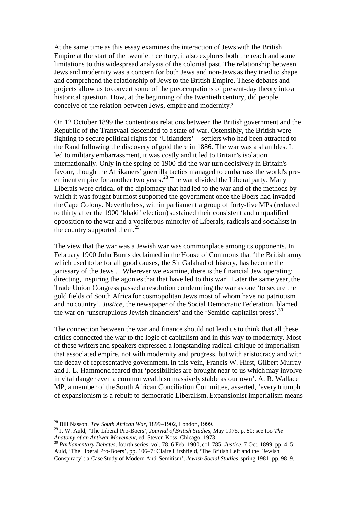At the same time as this essay examines the interaction of Jews with the British Empire at the start of the twentieth century, it also explores both the reach and some limitations to this widespread analysis of the colonial past. The relationship between Jews and modernity was a concern for both Jews and non-Jews as they tried to shape and comprehend the relationship of Jewsto the British Empire. These debates and projects allow us to convert some of the preoccupations of present-day theory into a historical question. How, at the beginning of the twentieth century, did people conceive of the relation between Jews, empire and modernity?

On 12 October 1899 the contentious relations between the British government and the Republic of the Transvaal descended to a state of war. Ostensibly, the British were fighting to secure political rights for 'Uitlanders' – settlers who had been attracted to the Rand following the discovery of gold there in 1886. The war was a shambles. It led to military embarrassment, it was costly and it led to Britain's isolation internationally. Only in the spring of 1900 did the war turn decisively in Britain's favour, though the Afrikaners' guerrilla tactics managed to embarrass the world's preeminent empire for another two years.<sup>28</sup> The war divided the Liberal party. Many Liberals were critical of the diplomacy that had led to the war and of the methods by which it was fought but most supported the government once the Boers had invaded theCape Colony. Nevertheless, within parliament a group of forty-five MPs (reduced to thirty after the 1900 'khaki' election) sustained their consistent and unqualified opposition to the war and a vociferous minority of Liberals, radicals and socialistsin the country supported them. $^{29}$ 

The view that the war was a Jewish war was commonplace among its opponents. In February 1900 John Burns declaimed in the House of Commons that 'the British army which used to be for all good causes, the Sir Galahad of history, has become the janissary of the Jews ... Wherever we examine, there isthe financial Jew operating; directing, inspiring the agoniesthat that have led to this war'. Later the same year, the Trade Union Congress passed a resolution condemning the war as one 'to secure the gold fields of South Africa for cosmopolitan Jews most of whom have no patriotism and no country'. *Justice*, the newspaper of the Social Democratic Federation, blamed the war on 'unscrupulous Jewish financiers' and the 'Semitic-capitalist press'.<sup>30</sup>

The connection between the war and finance should not lead usto think that all these critics connected the war to the logic of capitalism and in this way to modernity. Most of these writers and speakers expressed a longstanding radical critique of imperialism that associated empire, not with modernity and progress, but with aristocracy and with the decay of representative government.In this vein, Francis W. Hirst, Gilbert Murray and J. L. Hammond feared that 'possibilities are brought near to us which may involve in vital danger even a commonwealth so massively stable as our own'. A. R. Wallace MP, a member of the South African Conciliation Committee, asserted, 'every triumph of expansionism is a rebuff to democratic Liberalism. Expansionist imperialism means

<sup>28</sup> Bill Nasson, *The South African War*, 1899–1902, London, 1999.

<sup>29</sup> J. W. Auld, 'The Liberal Pro-Boers', *Journal of British Studies*, May 1975, p. 80; see too *The Anatomy of an Antiwar Movement*, ed. Steven Koss, Chicago, 1973. 30 *Parliamentary Debates*, fourth series, vol. 78, 6 Feb. 1900, col. 785; *Justice*, 7 Oct. 1899, pp. 4–5;

Auld, 'The Liberal Pro-Boers', pp. 106–7; Claire Hirshfield,'The British Left and the "Jewish Conspiracy": a Case Study of Modern Anti-Semitism', *Jewish Social Studies*, spring 1981, pp. 98–9.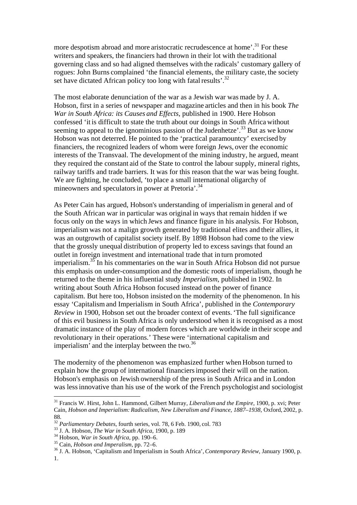more despotism abroad and more aristocratic recrudescence at home'.<sup>31</sup> For these writers and speakers, the financiers had thrown in their lot with the traditional governing class and so had aligned themselves with the radicals' customary gallery of rogues: John Burns complained 'the financial elements, the military caste, the society set have dictated African policy too long with fatal results'.<sup>32</sup>

The most elaborate denunciation of the war as a Jewish war was made by J. A. Hobson, first in a series of newspaper and magazine articles and then in his book *The War in South Africa: its Causes and Effects*, published in 1900. Here Hobson confessed 'it is difficult to state the truth about our doings in South Africa without seeming to appeal to the ignominious passion of the Judenhetze'.<sup>33</sup> But as we know Hobson was not deterred. He pointed to the 'practical paramountcy' exercised by financiers, the recognized leaders of whom were foreign Jews, over the economic interests of the Transvaal. The development of the mining industry, he argued, meant they required the constant aid of the State to control the labour supply, mineral rights, railway tariffs and trade barriers. It was for this reason that the war was being fought. We are fighting, he concluded, 'to place a small international oligarchy of mineowners and speculators in power at Pretoria'.<sup>34</sup>

As Peter Cain has argued, Hobson's understanding of imperialismin general and of the South African war in particular was original in ways that remain hidden if we focus only on the ways in which Jews and finance figure in his analysis. For Hobson, imperialism was not a malign growth generated by traditional elites and their allies, it was an outgrowth of capitalist society itself. By 1898 Hobson had come to the view that the grossly unequal distribution of property led to excess savings that found an outlet in foreign investment and international trade that in turn promoted imperialism. $35$  In his commentaries on the war in South Africa Hobson did not pursue this emphasis on under-consumption and the domestic roots of imperialism, though he returned to the theme in his influential study *Imperialism*, published in 1902. In writing about South Africa Hobson focused instead on the power of finance capitalism. But here too, Hobson insisted on the modernity of the phenomenon. In his essay 'Capitalism and Imperialism in South Africa', published in the *Contemporary Review* in 1900, Hobson set out the broader context of events.'The full significance of this evil business in South Africa is only understood when it is recognised as a most dramatic instance of the play of modern forces which are worldwide in their scope and revolutionary in their operations.' These were 'international capitalism and imperialism' and the interplay between the two. $36$ 

The modernity of the phenomenon was emphasized further when Hobson turned to explain how the group of international financiersimposed their will on the nation. Hobson's emphasis on Jewish ownership of the press in South Africa and in London was lessinnovative than his use of the work of the French psychologist and sociologist

<sup>31</sup> Francis W. Hirst, John L. Hammond, Gilbert Murray, *Liberalism and the Empire*, 1900, p. xvi; Peter Cain, *Hobson and Imperialism: Radicalism, New Liberalism and Finance, 1887–1938*, Oxford, 2002, p. 88.<br><sup>32</sup> Parliamentary Debates, fourth series, vol. 78, 6 Feb. 1900, col. 783

<sup>&</sup>lt;sup>33</sup> J. A. Hobson, *The War in South Africa*, 1900, p. 189<br><sup>34</sup> Hobson, *War in South Africa*, pp. 190–6.<br><sup>35</sup> Cain, *Hobson and Imperalism*, pp. 72–6.<br><sup>36</sup> J. A. Hobson. 'Capitalism and Imperalism in South Africa', *Cont* 1.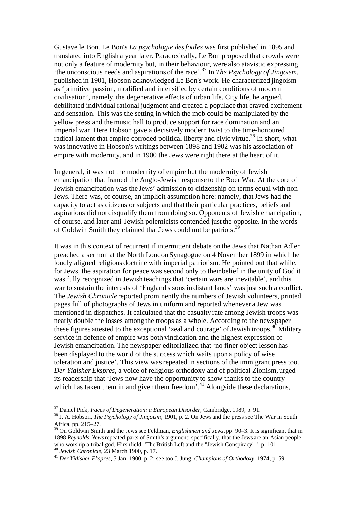Gustave le Bon. Le Bon's *La psychologie desfoules* was first published in 1895 and translated into English a year later. Paradoxically, Le Bon proposed that crowds were not only a feature of modernity but, in their behaviour, were also atavistic expressing 'the unconscious needs and aspirations of the race'.37 In *The Psychology of Jingoism*, published in 1901, Hobson acknowledged Le Bon's work. He characterized jingoism as 'primitive passion, modified and intensified by certain conditions of modern civilisation', namely, the degenerative effects of urban life. City life, he argued, debilitated individual rational judgment and created a populace that craved excitement and sensation. This was the setting in which the mob could be manipulated by the yellow press and the music hall to produce support for race domination and an imperial war. Here Hobson gave a decisively modern twist to the time-honoured radical lament that empire corroded political liberty and civic virtue.<sup>38</sup> In short, what was innovative in Hobson's writings between 1898 and 1902 was his association of empire with modernity, and in 1900 the Jews were right there at the heart of it.

In general, it was not the modernity of empire but the modernity of Jewish emancipation that framed the Anglo-Jewish response to the Boer War. At the core of Jewish emancipation was the Jews' admission to citizenship on terms equal with non-Jews. There was, of course, an implicit assumption here: namely, thatJews had the capacity to act as citizens or subjects and that their particular practices, beliefs and aspirations did not disqualify them from doing so. Opponents of Jewish emancipation, of course, and later anti-Jewish polemicists contended just the opposite. In the words of Goldwin Smith they claimed that Jews could not be patriots.<sup>3</sup>

It was in this context of recurrent if intermittent debate on the Jews that Nathan Adler preached a sermon at the North London Synagogue on 4 November 1899 in which he loudly aligned religious doctrine with imperial patriotism. He pointed out that while, for Jews, the aspiration for peace was second only to their belief in the unity of God it was fully recognized in Jewish teachings that 'certain wars are inevitable', and this war to sustain the interests of 'England's sons in distant lands' was just such a conflict. The *Jewish Chronicle* reported prominently the numbers of Jewish volunteers, printed pages full of photographs of Jews in uniform and reported whenever a Jew was mentioned in dispatches. It calculated that the casualty rate among Jewish troops was nearly double the losses among the troops as a whole. According to the newspaper these figures attested to the exceptional 'zeal and courage' of Jewish troops.<sup>40</sup> Military service in defence of empire was both vindication and the highest expression of Jewish emancipation. The newspaper editorialized that 'no finer object lesson has been displayed to the world of the success which waits upon a policy of wise toleration and justice'. This view wasrepeated in sections of the immigrant press too. *Der Yidisher Ekspres*, a voice of religious orthodoxy and of political Zionism, urged its readership that 'Jews now have the opportunity to show thanks to the country which has taken them in and given them freedom'.<sup>41</sup> Alongside these declarations,

<sup>&</sup>lt;sup>37</sup> Daniel Pick, *Faces of Degeneration: a European Disorder*, Cambridge, 1989, p. 91.<br><sup>38</sup> J. A. Hobson, *The Psychology of Jingoism*, 1901, p. 2. On Jews and the press see The War in South Africa, pp. 215–27.

<sup>39</sup> On Goldwin Smith and the Jews see Feldman, *Englishmen and Jews*, pp. 90–3. It is significant that in 1898 *Reynolds News*repeated parts of Smith's argument; specifically, that the Jews are an Asian people <sup>40</sup> Jewish Chronicle, 23 March 1900, p. 17.<br><sup>41</sup> Der Yidisher Ekspres, 5 Jan. 1900, p. 2; see too J. Jung, Champions of Orthodoxy, 1974, p. 59.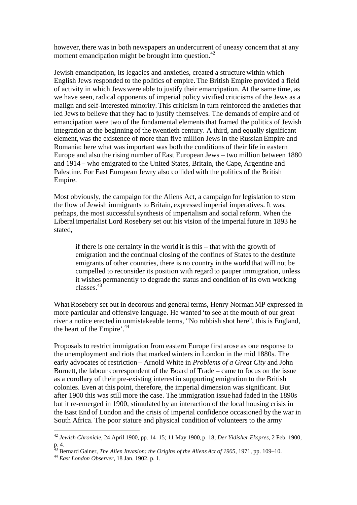however, there was in both newspapers an undercurrent of uneasy concern that at any moment emancipation might be brought into question.<sup>42</sup>

Jewish emancipation, its legacies and anxieties, created a structure within which English Jews responded to the politics of empire. The British Empire provided a field of activity in which Jews were able to justify their emancipation. At the same time, as we have seen, radical opponents of imperial policy vivified criticisms of the Jews as a malign and self-interested minority. This criticism in turn reinforced the anxieties that led Jewsto believe that they had to justify themselves. The demands of empire and of emancipation were two of the fundamental elements that framed the politics of Jewish integration at the beginning of the twentieth century. A third, and equally significant element, was the existence of more than five million Jews in the Russian Empire and Romania: here what was important was both the conditions of their life in eastern Europe and also the rising number of East European Jews – two million between 1880 and 1914 – who emigrated to the United States, Britain, the Cape, Argentine and Palestine. For East European Jewry also collided with the politics of the British Empire.

Most obviously, the campaign for the Aliens Act, a campaign for legislation to stem the flow of Jewish immigrants to Britain, expressed imperial imperatives. It was, perhaps, the most successfulsynthesis of imperialism and social reform. When the Liberal imperialist Lord Rosebery set out his vision of the imperial future in 1893 he stated,

if there is one certainty in the world it is this – that with the growth of emigration and the continual closing of the confines of States to the destitute emigrants of other countries, there is no country in the world that will not be compelled to reconsider its position with regard to pauper immigration, unless it wishes permanently to degrade the status and condition of its own working classes.43

What Rosebery set out in decorous and general terms, Henry Norman MP expressed in more particular and offensive language. He wanted 'to see at the mouth of our great river a notice erected in unmistakeable terms, "No rubbish shot here", this is England, the heart of the Empire'.<sup>44</sup>

Proposals to restrict immigration from eastern Europe first arose as one response to the unemployment and riots that marked winters in London in the mid 1880s. The early advocates of restriction – Arnold White in *Problems of a Great City* and John Burnett, the labour correspondent of the Board of Trade – came to focus on the issue as a corollary of their pre-existing interest in supporting emigration to the British colonies. Even at this point, therefore, the imperial dimension was significant. But after 1900 this was still more the case. The immigration issue had faded in the 1890s but it re-emerged in 1900, stimulated by an interaction of the local housing crisis in the East End of London and the crisis of imperial confidence occasioned by the war in South Africa. The poor stature and physical condition of volunteers to the army

<sup>42</sup> *Jewish Chronicle*, 24 April 1900, pp. 14–15; 11 May 1900, p. 18; *Der Yidisher Ekspres*, 2 Feb. 1900,  $p. 4.$ 

<sup>43</sup> Bernard Gainer, *The Alien Invasion: the Origins of the Aliens Act of 1905*, 1971, pp. 109–10. 44 *East London Observer*, 18 Jan. 1902. p. 1.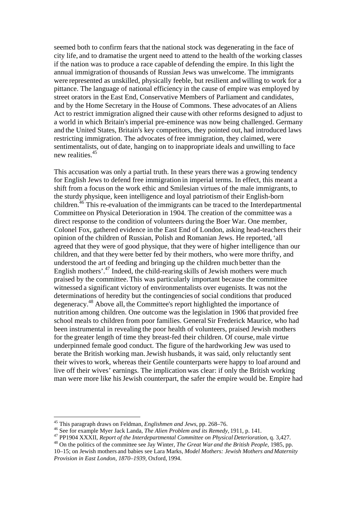seemed both to confirm fears that the national stock was degenerating in the face of city life, and to dramatise the urgent need to attend to the health of the working classes if the nation was to produce a race capable of defending the empire. In this light the annual immigration of thousands of Russian Jews was unwelcome. The immigrants were represented as unskilled, physically feeble, but resilient and willing to work for a pittance. The language of national efficiency in the cause of empire was employed by street orators in the East End, Conservative Members of Parliament and candidates, and by the Home Secretary in the House of Commons. These advocates of an Aliens Act to restrict immigration aligned their cause with other reforms designed to adjust to a world in which Britain'simperial pre-eminence was now being challenged. Germany and the United States, Britain's key competitors, they pointed out, had introduced laws restricting immigration. The advocates of free immigration, they claimed, were sentimentalists, out of date, hanging on to inappropriate ideals and unwilling to face new realities.45

This accusation was only a partial truth. In these years there was a growing tendency for English Jews to defend free immigration in imperial terms. In effect, this meant a shift from a focus on the work ethic and Smilesian virtues of the male immigrants, to the sturdy physique, keen intelligence and loyal patriotismof their English-born children.46 This re-evaluation of the immigrants can be traced to the Interdepartmental Committee on Physical Deterioration in 1904. The creation of the committee was a direct response to the condition of volunteers during the Boer War. One member, Colonel Fox, gathered evidence in the East End of London, asking head-teachers their opinion ofthe children of Russian, Polish and Romanian Jews. He reported,'all agreed that they were of good physique, that they were of higher intelligence than our children, and that they were better fed by their mothers, who were more thrifty, and understood the art of feeding and bringing up the children much better than the English mothers'. $47$  Indeed, the child-rearing skills of Jewish mothers were much praised by the committee. This was particularly important because the committee witnessed a significant victory of environmentalists over eugenists. It was not the determinations of heredity but the contingencies of social conditions that produced degeneracy.48 Above all, the Committee's report highlighted the importance of nutrition among children. One outcome was the legislation in 1906 that provided free school meals to children from poor families. General Sir Frederick Maurice, who had been instrumental in revealing the poor health of volunteers, praised Jewish mothers for the greater length of time they breast-fed their children. Of course, male virtue underpinned female good conduct. The figure of the hardworking Jew was used to berate the British working man.Jewish husbands, it was said, only reluctantly sent their wivesto work, whereas their Gentile counterparts were happy to loaf around and live off their wives' earnings. The implication was clear: if only the British working man were more like hisJewish counterpart, the safer the empire would be. Empire had

<sup>&</sup>lt;sup>45</sup> This paragraph draws on Feldman, *Englishmen and Jews*, pp. 268–76.<br><sup>46</sup> See for example Myer Jack Landa, *The Alien Problem and its Remedy*, 1911, p. 141.<br><sup>47</sup> PP1904 XXXII, *Report of the Interdepartmental Committe* 

<sup>10–15;</sup> on Jewish mothers and babies see Lara Marks, *Model Mothers: Jewish Mothers and Maternity Provision in East London, 1870–1939*, Oxford, 1994.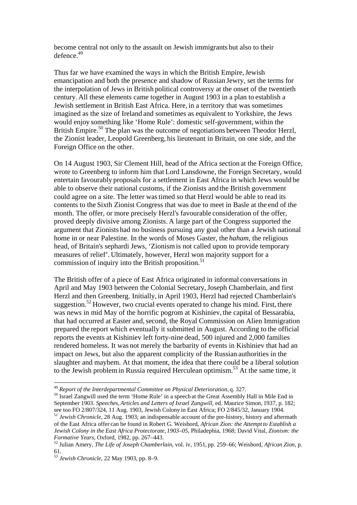become central not only to the assault on Jewish immigrants but also to their defence.49

Thus far we have examined the ways in which the British Empire, Jewish emancipation and both the presence and shadow of Russian Jewry, set the terms for the interpolation of Jews in British political controversy at the onset of the twentieth century. All these elements came together in August 1903 in a plan to establish a Jewish settlement in British East Africa. Here, in a territory that was sometimes imagined as the size of Ireland and sometimes as equivalent to Yorkshire, the Jews would enjoy something like 'Home Rule': domestic self-government, within the British Empire.<sup>50</sup> The plan was the outcome of negotiations between Theodor Herzl, the Zionist leader, Leopold Greenberg, his lieutenant in Britain, on one side, and the Foreign Office on the other.

On 14 August 1903, Sir Clement Hill, head of the Africa section at the Foreign Office, wrote to Greenberg to inform him that Lord Lansdowne, the Foreign Secretary, would entertain favourably proposals for a settlement in East Africa in which Jews would be able to observe their national customs, if the Zionists and the British government could agree on a site. The letter wastimed so that Herzl would be able to read its contents to the Sixth Zionist Congress that was due to meet in Basle at the end of the month. The offer, or more precisely Herzl's favourable consideration of the offer, proved deeply divisive among Zionists. A large part of the Congress supported the argument that Zionists had no business pursuing any goal other than a Jewish national home in or near Palestine. In the words of Moses Gaster, the *haham*, the religious head, of Britain's sephardi Jews, 'Zionismis not called upon to provide temporary measures of relief'. Ultimately, however, Herzl won majority support for a commission of inquiry into the British proposition.<sup>51</sup>

The British offer of a piece of East Africa originated in informal conversations in April and May 1903 between the Colonial Secretary,Joseph Chamberlain, and first Herzl and then Greenberg. Initially, in April 1903, Herzl had rejected Chamberlain's suggestion.<sup>52</sup> However, two crucial events operated to change his mind. First, there was news in mid May of the horrific pogrom at Kishiniev, the capital of Bessarabia, that had occurred at Easter and, second, the Royal Commission on Alien Immigration prepared the report which eventually it submitted in August. According to the official reports the events at Kishiniev left forty-nine dead, 500 injured and 2,000 families rendered homeless. It was not merely the barbarity of events in Kishiniev that had an impact on Jews, but also the apparent complicity of the Russian authorities in the slaughter and mayhem. At that moment, the idea that there could be a liberal solution to the Jewish problem in Russia required Herculean optimism.<sup>53</sup> At the same time, it

 $49$  Renort of the Interdepartmental Committee on Physical Deterioration, q. 327.

<sup>&</sup>lt;sup>50</sup> Israel Zangwill used the term 'Home Rule' in a speech at the Great Assembly Hall in Mile End in September 1903. *Speeches, Articles and Letters of Israel Zangwill*, ed. Maurice Simon, 1937, p. 182; see too FO 2/807/324, 11 Aug. 1903, Jewish Colony in East Africa; FO 2/845/32, January 1904.

<sup>&</sup>lt;sup>51</sup> Jewish Chronicle, 28 Aug. 1903; an indispensable account of the pre-history, history and aftermath of the East Africa offer can be found in Robert G. Weisbord, *African Zion: the Attempt to Establish a Jewish Colony in the East Africa Protectorate, 1903–05*, Philadephia, 1968; David Vital, *Zionism: the Formative Years*, Oxford, 1982, pp. 267–443. 52 Julian Amery, *The Life of Joseph Chamberlain*, vol. iv, 1951, pp. 259–66; Weisbord, *African Zion*, p.

<sup>61.</sup> 

<sup>53</sup> *Jewish Chronicle*, 22 May 1903, pp. 8–9.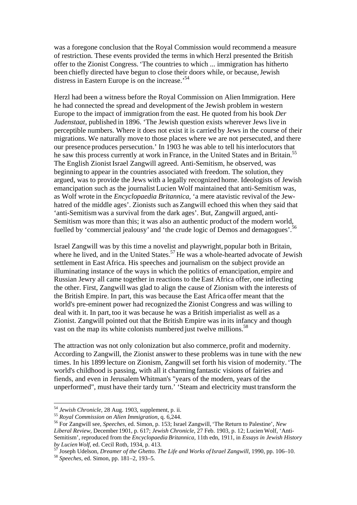was a foregone conclusion that the Royal Commission would recommend a measure of restriction. These events provided the terms in which Herzl presented the British offer to the Zionist Congress.'The countries to which ... immigration has hitherto been chiefly directed have begun to close their doors while, or because,Jewish distress in Eastern Europe is on the increase.<sup>54</sup>

Herzl had been a witness before the Royal Commission on Alien Immigration. Here he had connected the spread and development of the Jewish problem in western Europe to the impact of immigration from the east. He quoted from his book *Der Judenstaat*, published in 1896. 'The Jewish question exists wherever Jews live in perceptible numbers. Where it does not exist it is carried by Jews in the course of their migrations. We naturally move to those places where we are not persecuted, and there our presence produces persecution.' In 1903 he was able to tell hisinterlocutors that he saw this process currently at work in France, in the United States and in Britain.<sup>55</sup> The English Zionist Israel Zangwill agreed. Anti-Semitism, he observed, was beginning to appear in the countries associated with freedom. The solution, they argued, was to provide the Jews with a legally recognized home. Ideologists of Jewish emancipation such as the journalist Lucien Wolf maintained that anti-Semitism was, as Wolf wrote in the *Encyclopaedia Britannica*, 'a mere atavistic revival of the Jewhatred of the middle ages'. Zionists such as Zangwill echoed this when they said that 'anti-Semitism was a survival from the dark ages'. But, Zangwill argued, anti-Semitism was more than this; it was also an authentic product of the modern world, fuelled by 'commercial jealousy' and 'the crude logic of Demos and demagogues'.<sup>56</sup>

Israel Zangwill was by this time a novelist and playwright, popular both in Britain, where he lived, and in the United States.<sup>57</sup> He was a whole-hearted advocate of Jewish settlement in East Africa. His speeches and journalism on the subject provide an illuminating instance of the ways in which the politics of emancipation, empire and Russian Jewry all came together in reactions to the East Africa offer, one inflecting the other. First, Zangwill was glad to align the cause of Zionism with the interests of the British Empire. In part, this was because the East Africa offer meant that the world's pre-eminent power had recognized the Zionist Congress and was willing to deal with it. In part, too it was because he was a British imperialist as well as a Zionist. Zangwill pointed out that the British Empire was in its infancy and though vast on the map its white colonists numbered just twelve millions.<sup>58</sup>

The attraction was not only colonization but also commerce, profit and modernity. According to Zangwill, the Zionist answerto these problems was in tune with the new times. In his 1899 lecture on Zionism, Zangwill set forth his vision of modernity.'The world's childhood is passing, with all it charming fantastic visions of fairies and fiends, and even in Jerusalem Whitman's "years of the modern, years of the unperformed", must have their tardy turn.' 'Steam and electricity must transform the

<sup>&</sup>lt;sup>54</sup> Jewish Chronicle, 28 Aug. 1903, supplement, p. ii.<br><sup>55</sup> Royal Commission on Alien Immigration, q. 6,244.<br><sup>56</sup> For Zangwill see, *Speeches*, ed. Simon, p. 153; Israel Zangwill, 'The Return to Palestine', *New Liberal Review*, December 1901, p. 617; *Jewish Chronicle*, 27 Feb. 1903, p. 12; Lucien Wolf, 'Anti-Semitism', reproduced from the *Encyclopaedia Britannica*, 11th edn, 1911, in *Essays in Jewish History* 

*by Lucien Wolff, ed. Cecil Rotherson, Dreamer of the Ghetto. The Life and Works of Israel Zangwill, 1990, pp. 106–10.*<br><sup>58</sup> *Speeches*, ed. Simon, pp. 181–2, 193–5.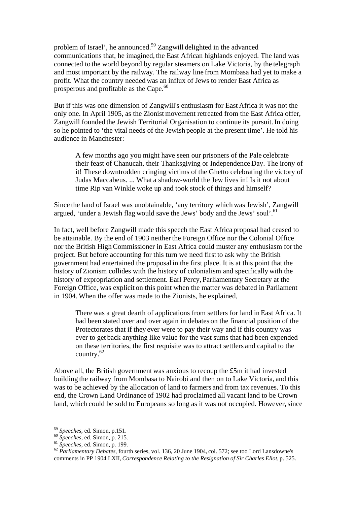problem of Israel', he announced.<sup>59</sup> Zangwill delighted in the advanced communications that, he imagined, the East African highlands enjoyed. The land was connected to the world beyond by regular steamers on Lake Victoria, by the telegraph and most important by the railway. The railway line from Mombasa had yet to make a profit. What the country needed was an influx of Jews to render East Africa as prosperous and profitable as the Cape.<sup>60</sup>

But if this was one dimension of Zangwill's enthusiasm for East Africa it was not the only one. In April 1905, as the Zionist movement retreated from the East Africa offer, Zangwill founded the Jewish Territorial Organisation to continue its pursuit.In doing so he pointed to 'the vital needs of the Jewish people at the present time'. He told his audience in Manchester:

A few months ago you might have seen our prisoners of the Pale celebrate their feast of Chanucah, their Thanksgiving or Independence Day. The irony of it! These downtrodden cringing victims of the Ghetto celebrating the victory of Judas Maccabeus. ... What a shadow-world the Jew lives in! Is it not about time Rip van Winkle woke up and took stock of things and himself?

Since the land of Israel was unobtainable, 'any territory which was Jewish', Zangwill argued, 'under a Jewish flag would save the Jews' body and the Jews' soul'.<sup>61</sup>

In fact, well before Zangwill made this speech the East Africa proposal had ceased to be attainable. By the end of 1903 neither the Foreign Office nor the Colonial Office nor the British HighCommissioner in East Africa could muster any enthusiasm for the project. But before accounting for this turn we need first to ask why the British government had entertained the proposal in the first place. It is at this point that the history of Zionism collides with the history of colonialism and specifically with the history of expropriation and settlement. Earl Percy, Parliamentary Secretary at the Foreign Office, was explicit on this point when the matter was debated in Parliament in 1904. When the offer was made to the Zionists, he explained,

There was a great dearth of applications from settlers for land in East Africa. It had been stated over and over again in debates on the financial position of the Protectorates that if they ever were to pay their way and if this country was ever to get back anything like value for the vast sums that had been expended on these territories, the first requisite was to attract settlers and capital to the country.62

Above all, the British government was anxious to recoup the £5m it had invested building the railway from Mombasa to Nairobi and then on to Lake Victoria, and this was to be achieved by the allocation of land to farmers and from tax revenues. To this end, the Crown Land Ordinance of 1902 had proclaimed all vacant land to be Crown land, which could be sold to Europeans so long as it was not occupied. However, since

<sup>&</sup>lt;sup>59</sup> Speeches, ed. Simon, p.151.

<sup>59</sup> *Speeches*, ed. Simon, p.151. 60 *Speeches*, ed. Simon, p. 215. 61 *Speeches*, ed. Simon, p. 199. 62 *Parliamentary Debates*, fourth series, vol. 136, 20 June 1904, col. 572; see too Lord Lansdowne's comments in PP 1904 LXII,*Correspondence Relating to the Resignation of Sir Charles Eliot*, p. 525.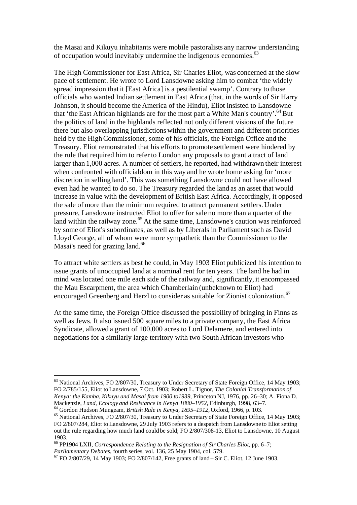the Masai and Kikuyu inhabitants were mobile pastoralists any narrow understanding of occupation would inevitably undermine the indigenous economies.<sup>63</sup>

The High Commissioner for East Africa, Sir Charles Eliot, was concerned at the slow pace of settlement. He wrote to Lord Lansdowne asking him to combat 'the widely spread impression that it [East Africa] is a pestilential swamp'. Contrary to those officials who wanted Indian settlement in East Africa (that, in the words of Sir Harry Johnson, it should become the America of the Hindu), Eliot insisted to Lansdowne that 'the East African highlands are for the most part a White Man's country'.<sup>64</sup> But the politics of land in the highlands reflected not only different visions of the future there but also overlapping jurisdictions within the government and different priorities held by the High Commissioner, some of his officials, the Foreign Office and the Treasury. Eliot remonstrated that his efforts to promote settlement were hindered by the rule that required him to refer to London any proposals to grant a tract of land larger than 1,000 acres. A number of settlers, he reported, had withdrawn their interest when confronted with officialdom in this way and he wrote home asking for 'more discretion in selling land'. This was something Lansdowne could not have allowed even had he wanted to do so. The Treasury regarded the land as an asset that would increase in value with the development of British East Africa. Accordingly, it opposed the sale of more than the minimum required to attract permanent settlers. Under pressure, Lansdowne instructed Eliot to offer for sale no more than a quarter of the land within the railway zone.<sup>65</sup> At the same time, Lansdowne's caution was reinforced by some of Eliot's subordinates, as well as by Liberals in Parliament such as David Lloyd George, all of whom were more sympathetic than the Commissioner to the Masai's need for grazing land.<sup>66</sup>

To attract white settlers as best he could, in May 1903 Eliot publicized his intention to issue grants of unoccupied land at a nominal rent for ten years. The land he had in mind waslocated one mile each side of the railway and, significantly, it encompassed the Mau Escarpment, the area which Chamberlain (unbeknown to Eliot) had encouraged Greenberg and Herzl to consider as suitable for Zionist colonization.<sup>67</sup>

At the same time, the Foreign Office discussed the possibility of bringing in Finns as well as Jews. It also issued 500 square miles to a private company, the East Africa Syndicate, allowed a grant of 100,000 acres to Lord Delamere, and entered into negotiations for a similarly large territory with two South African investors who

<sup>63</sup> National Archives, FO 2/807/30, Treasury to Under Secretary of State Foreign Office, 14 May 1903; FO 2/785/155, Eliot to Lansdowne, 7 Oct. 1903; Robert L. Tignor, *The Colonial Transformation of Kenya: the Kamba, Kikuyu and Masai from 1900 to1939*, Princeton NJ, 1976, pp. 26–30; A. Fiona D.

 $^{64}$  Gordon Hudson Mungeam, *British Rule in Kenya, 1895–1912*, Oxford, 1966, p. 103.<br><sup>65</sup> National Archives, FO 2/807/30, Treasury to Under Secretary of State Foreign Office, 14 May 1903; FO 2/807/284, Eliot to Lansdowne, 29 July 1903 refers to a despatch from Lansdowne to Eliot setting out the rule regarding how much land could be sold; FO 2/807/308-13, Eliot to Lansdowne, 10 August 1903.

<sup>66</sup> PP1904 LXII, *Correspondence Relating to the Resignation of SirCharles Eliot*, pp. 6–7;

*Parliamentary Debates*, fourth series, vol. 136, 25 May 1904, col. 579.<br><sup>67</sup> FO 2/807/29, 14 May 1903; FO 2/807/142, Free grants of land – Sir C. Eliot, 12 June 1903.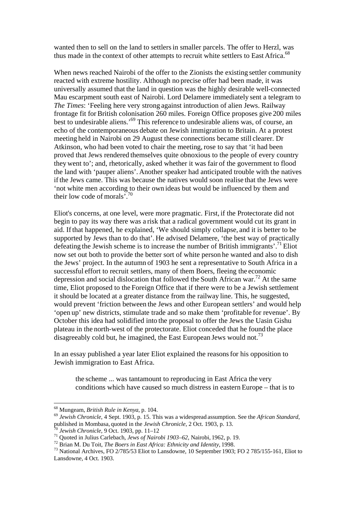wanted then to sell on the land to settlersin smaller parcels. The offer to Herzl, was thus made in the context of other attempts to recruit white settlers to East Africa.<sup>68</sup>

When news reached Nairobi of the offer to the Zionists the existing settler community reacted with extreme hostility. Although no precise offer had been made, it was universally assumed that the land in question was the highly desirable well-connected Mau escarpment south east of Nairobi. Lord Delamere immediately sent a telegram to *The Times*: 'Feeling here very strong against introduction of alien Jews. Railway frontage fit forBritish colonisation 260 miles. Foreign Office proposes give 200 miles best to undesirable aliens.'69 This reference to undesirable aliens was, of course, an echo of the contemporaneous debate on Jewish immigration to Britain. At a protest meeting held in Nairobi on 29 August these connections became still clearer. Dr Atkinson, who had been voted to chair the meeting,rose to say that 'it had been proved that Jews rendered themselves quite obnoxious to the people of every country they went to'; and, rhetorically, asked whether it was fair of the government to flood the land with 'pauper aliens'. Another speaker had anticipated trouble with the natives ifthe Jews came. This was because the natives would soon realise that the Jews were 'not white men according to their own ideas but would be influenced by them and their low code of morals<sup> $\frac{70}{10}$ </sup>

Eliot's concerns, at one level, were more pragmatic. First, if the Protectorate did not begin to pay its way there was a risk that a radical government would cut its grant in aid. Ifthat happened, he explained, 'We should simply collapse, and it is better to be supported by Jews than to do that'. He advised Delamere, 'the best way of practically defeating the Jewish scheme is to increase the number of British immigrants'.<sup>71</sup> Eliot now set out both to provide the better sort of white person he wanted and also to dish the Jews' project. In the autumn of 1903 he sent a representative to South Africa in a successful effort to recruit settlers, many of them Boers, fleeing the economic depression and social dislocation that followed the South African war.72 At the same time, Eliot proposed to the Foreign Office that if there were to be a Jewish settlement it should be located at a greater distance from the railway line. This, he suggested, would prevent 'friction between the Jews and other European settlers' and would help 'open up' new districts, stimulate trade and so make them 'profitable for revenue'. By October this idea had solidified into the proposal to offer the Jews the Uasin Gishu plateau in the north-west of the protectorate. Eliot conceded that he found the place disagreeably cold but, he imagined, the East European Jews would not.<sup>73</sup>

In an essay published a year later Eliot explained the reasonsfor his opposition to Jewish immigration to East Africa.

the scheme ... was tantamount to reproducing in East Africa the very conditions which have caused so much distress in eastern Europe – that is to

<sup>68</sup> Mungeam, *British Rule in Kenya*, p. 104. 69 *Jewish Chronicle*, 4 Sept. 1903, p. 15. This was a widespread assumption. See the *African Standard*, published in Mombasa, quoted in the Jewish Chronicle, 2 Oct. 1903, p. 13.<br>
<sup>70</sup> Jewish Chronicle, 9 Oct. 1903, pp. 11–12<br>
<sup>71</sup> Quoted in Julius Carlebach, Jews of Nairobi 1903–62, Nairobi, 1962, p. 19.<br>
<sup>72</sup> Brian M. Du T

Lansdowne, 4 Oct. 1903.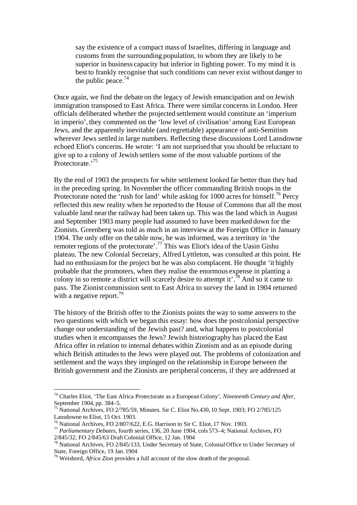say the existence of a compact mass of Israelites, differing in language and customs from the surrounding population, to whom they are likely to be superior in business capacity but inferior in fighting power. To my mind it is best to frankly recognise that such conditions can never exist without danger to the public peace. $74$ 

Once again, we find the debate on the legacy of Jewish emancipation and on Jewish immigration transposed to East Africa. There were similar concerns in London. Here officials deliberated whether the projected settlement would constitute an 'imperium in imperio', they commented on the 'low level of civilisation' among East European Jews, and the apparently inevitable (and regrettable) appearance of anti-Semitism wherever Jews settled in large numbers. Reflecting these discussions Lord Lansdowne echoed Eliot's concerns. He wrote: 'I am not surprised that you should be reluctant to give up to a colony of Jewish settlers some of the most valuable portions of the Protectorate<sup>,75</sup>

By the end of 1903 the prospects for white settlement looked far better than they had in the preceding spring. In Novemberthe officer commanding British troops in the Protectorate noted the 'rush for land' while asking for 1000 acres for himself.<sup>76</sup> Percy reflected this new reality when he reported to the House of Commons that all the most valuable land nearthe railway had been taken up. This was the land which in August and September 1903 many people had assumed to have been marked down for the Zionists. Greenberg was told as much in an interview at the Foreign Office in January 1904. The only offer on the table now, he was informed, was a territory in 'the remoter regions of the protectorate'.<sup>77</sup> This was Eliot's idea of the Uasin Gishu plateau. The new Colonial Secretary, Alfred Lyttleton, was consulted at this point. He had no enthusiasm for the project but he was also complacent. He thought 'it highly probable that the promoters, when they realise the enormous expense in planting a colony in so remote a district will scarcely desire to attempt it'.<sup>78</sup> And so it came to pass. The Zionist commission sent to East Africa to survey the land in 1904 returned with a negative report.<sup>79</sup>

The history of the British offer to the Zionists points the way to some answers to the two questions with which we began this essay: how does the postcolonial perspective change our understanding of the Jewish past? and, what happens to postcolonial studies when it encompasses the Jews? Jewish historiography has placed the East Africa offer in relation to internal debates within Zionism and as an episode during which British attitudes to the Jews were played out. The problems of colonization and settlement and the ways they impinged on the relationship in Europe between the British government and the Zionists are peripheral concerns, if they are addressed at

<sup>74</sup> Charles Eliot, 'The East Africa Protectorate as a EuropeanColony', *Nineteenth Century and After*, September 1904, pp. 384–5.<br><sup>75</sup> National Archives, FO 2/785/59, Minutes. Sir C. Eliot No.430, 10 Sept. 1903; FO 2/785/125

Lansdowne to Eliot, 15 Oct. 1903.<br><sup>76</sup> National Archives, FO 2/807/622, E.G. Harrison to Sir C. Eliot, 17 Nov. 1903.

<sup>&</sup>lt;sup>77</sup> Parliamentary Debates, fourth series, 136, 20 June 1904, cols 573-4; National Archives, FO 2/845/32; FO 2/845/63 Draft Colonial Office, 12 Jan. 1904<br><sup>78</sup> National Archives, FO 2/845/133, Under Secretary of State, Colonial Office to Under Secretary of

State, Foreign Office, 19 Jan. 1904<br><sup>79</sup> Weisbord, *Africa Zion* provides a full account of the slow death of the proposal.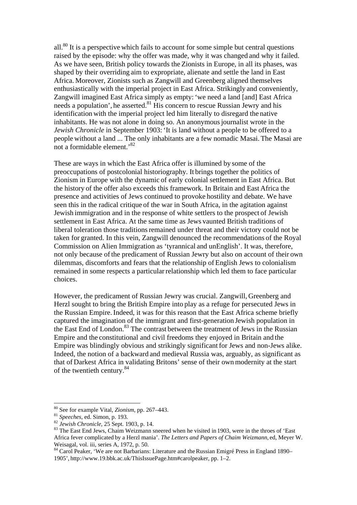all.<sup>80</sup> It is a perspective which fails to account for some simple but central questions raised by the episode: why the offer was made, why it was changed and why it failed. As we have seen, British policy towards the Zionists in Europe, in all its phases, was shaped by their overriding aim to expropriate, alienate and settle the land in East Africa. Moreover, Zionists such as Zangwill and Greenberg aligned themselves enthusiastically with the imperial project in East Africa. Strikingly and conveniently, Zangwill imagined East Africa simply as empty: 'we need a land [and] East Africa needs a population', he asserted. $81$  His concern to rescue Russian Jewry and his identification with the imperial project led him literally to disregard the native inhabitants. He was not alone in doing so. An anonymous journalist wrote in the *Jewish Chronicle* in September 1903: 'It is land without a people to be offered to a people without a land ... The only inhabitants are a few nomadic Masai. The Masai are not a formidable element.'82

These are ways in which the East Africa offer is illumined by some of the preoccupations of postcolonial historiography. It brings together the politics of Zionism in Europe with the dynamic of early colonial settlement in East Africa. But the history of the offer also exceeds this framework. In Britain and East Africa the presence and activities of Jews continued to provoke hostility and debate. We have seen this in the radical critique of the war in South Africa, in the agitation against Jewish immigration and in the response of white settlers to the prospect of Jewish settlement in East Africa. At the same time as Jews vaunted British traditions of liberal toleration those traditions remained under threat and their victory could not be taken for granted. In this vein, Zangwill denounced the recommendations of the Royal Commission on Alien Immigration as 'tyrannical and unEnglish'. It was, therefore, not only because ofthe predicament of Russian Jewry but also on account of their own dilemmas, discomforts and fears that the relationship of English Jews to colonialism remained in some respects a particular relationship which led them to face particular choices.

However, the predicament of Russian Jewry was crucial. Zangwill, Greenberg and Herzl sought to bring the British Empire into play as a refuge for persecuted Jews in the Russian Empire.Indeed, it was for this reason that the East Africa scheme briefly captured the imagination of the immigrant and first-generation Jewish population in the East End of London.<sup>83</sup> The contrast between the treatment of Jews in the Russian Empire and the constitutional and civil freedoms they enjoyed in Britain and the Empire was blindingly obvious and strikingly significant for Jews and non-Jews alike. Indeed, the notion of a backward and medieval Russia was, arguably, as significant as that of Darkest Africa in validating Britons' sense of their own modernity at the start of the twentieth century.84

<sup>&</sup>lt;sup>80</sup> See for example Vital, *Zionism*, pp. 267–443.<br><sup>81</sup> Speeches, ed. Simon, p. 193.<br><sup>82</sup> Jewish Chronicle, 25 Sept. 1903, p. 14.<br><sup>83</sup> The East End Jews, Chaim Weizmann sneered when he visited in 1903, were in the throes Africa fever complicated by a Herzl mania'. *The Letters and Papers of Chaim Weizmann*, ed, Meyer W. Weisagal, vol. iii, series A, 1972, p. 50.

<sup>84</sup> Carol Peaker, 'We are not Barbarians: Literature and the Russian Emigré Press in England 1890– 1905', http://www.19.bbk.ac.uk/ThisIssuePage.htm#carolpeaker, pp. 1–2.